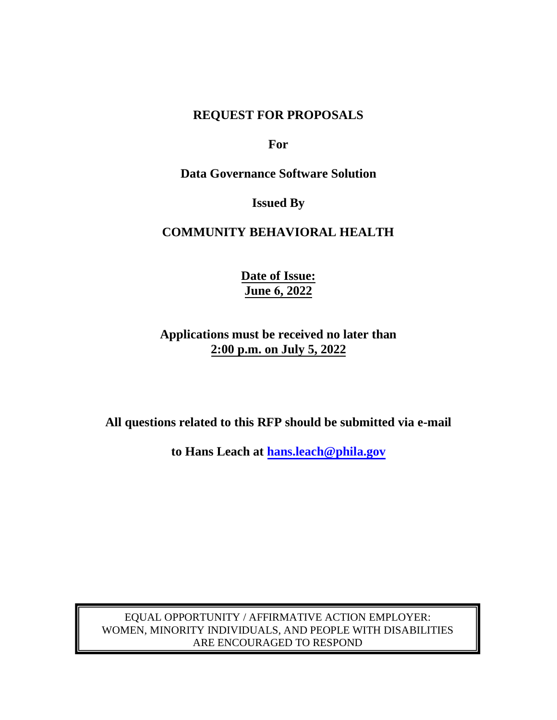#### **REQUEST FOR PROPOSALS**

**For** 

**Data Governance Software Solution** 

**Issued By** 

## **COMMUNITY BEHAVIORAL HEALTH**

**Date of Issue: June 6, 2022**

**Applications must be received no later than 2:00 p.m. on July 5, 2022**

**All questions related to this RFP should be submitted via e-mail** 

**to Hans Leach at [hans.leach@phila.gov](mailto:hans.leach@phila.gov)**

EQUAL OPPORTUNITY / AFFIRMATIVE ACTION EMPLOYER: WOMEN, MINORITY INDIVIDUALS, AND PEOPLE WITH DISABILITIES ARE ENCOURAGED TO RESPOND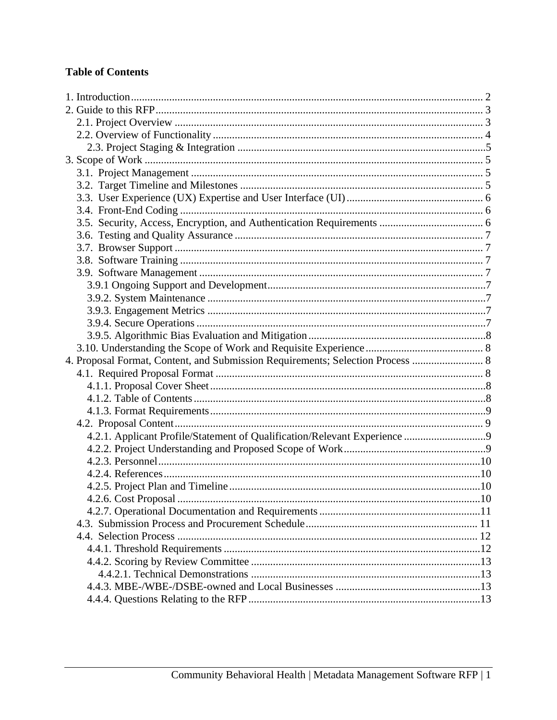# **Table of Contents**

| 4. Proposal Format, Content, and Submission Requirements; Selection Process  8 |  |
|--------------------------------------------------------------------------------|--|
|                                                                                |  |
|                                                                                |  |
|                                                                                |  |
|                                                                                |  |
|                                                                                |  |
|                                                                                |  |
|                                                                                |  |
|                                                                                |  |
|                                                                                |  |
|                                                                                |  |
|                                                                                |  |
|                                                                                |  |
|                                                                                |  |
|                                                                                |  |
|                                                                                |  |
|                                                                                |  |
|                                                                                |  |
|                                                                                |  |
|                                                                                |  |
|                                                                                |  |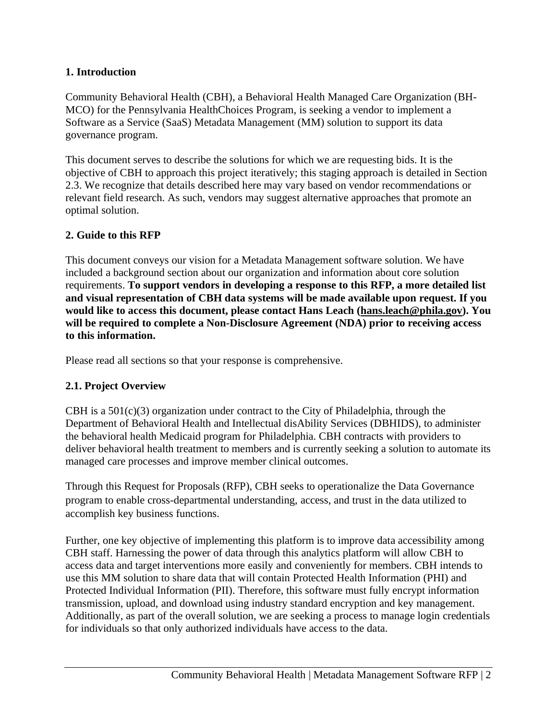#### **1. Introduction**

Community Behavioral Health (CBH), a Behavioral Health Managed Care Organization (BH-MCO) for the Pennsylvania HealthChoices Program, is seeking a vendor to implement a Software as a Service (SaaS) Metadata Management (MM) solution to support its data governance program.

This document serves to describe the solutions for which we are requesting bids. It is the objective of CBH to approach this project iteratively; this staging approach is detailed in Section 2.3. We recognize that details described here may vary based on vendor recommendations or relevant field research. As such, vendors may suggest alternative approaches that promote an optimal solution.

#### **2. Guide to this RFP**

This document conveys our vision for a Metadata Management software solution. We have included a background section about our organization and information about core solution requirements. **To support vendors in developing a response to this RFP, a more detailed list and visual representation of CBH data systems will be made available upon request. If you would like to access this document, please contact Hans Leach [\(hans.leach@phila.gov\)](mailto:hans.leach@phila.gov). You will be required to complete a Non-Disclosure Agreement (NDA) prior to receiving access to this information.**

Please read all sections so that your response is comprehensive.

#### **2.1. Project Overview**

CBH is a  $501(c)(3)$  organization under contract to the City of Philadelphia, through the Department of Behavioral Health and Intellectual disAbility Services (DBHIDS), to administer the behavioral health Medicaid program for Philadelphia. CBH contracts with providers to deliver behavioral health treatment to members and is currently seeking a solution to automate its managed care processes and improve member clinical outcomes.

Through this Request for Proposals (RFP), CBH seeks to operationalize the Data Governance program to enable cross-departmental understanding, access, and trust in the data utilized to accomplish key business functions.

Further, one key objective of implementing this platform is to improve data accessibility among CBH staff. Harnessing the power of data through this analytics platform will allow CBH to access data and target interventions more easily and conveniently for members. CBH intends to use this MM solution to share data that will contain Protected Health Information (PHI) and Protected Individual Information (PII). Therefore, this software must fully encrypt information transmission, upload, and download using industry standard encryption and key management. Additionally, as part of the overall solution, we are seeking a process to manage login credentials for individuals so that only authorized individuals have access to the data.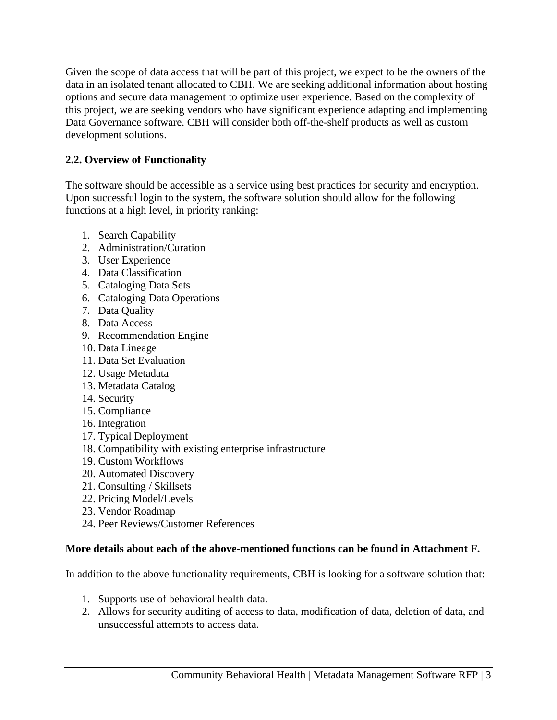Given the scope of data access that will be part of this project, we expect to be the owners of the data in an isolated tenant allocated to CBH. We are seeking additional information about hosting options and secure data management to optimize user experience. Based on the complexity of this project, we are seeking vendors who have significant experience adapting and implementing Data Governance software. CBH will consider both off-the-shelf products as well as custom development solutions.

#### **2.2. Overview of Functionality**

The software should be accessible as a service using best practices for security and encryption. Upon successful login to the system, the software solution should allow for the following functions at a high level, in priority ranking:

- 1. Search Capability
- 2. Administration/Curation
- 3. User Experience
- 4. Data Classification
- 5. Cataloging Data Sets
- 6. Cataloging Data Operations
- 7. Data Quality
- 8. Data Access
- 9. Recommendation Engine
- 10. Data Lineage
- 11. Data Set Evaluation
- 12. Usage Metadata
- 13. Metadata Catalog
- 14. Security
- 15. Compliance
- 16. Integration
- 17. Typical Deployment
- 18. Compatibility with existing enterprise infrastructure
- 19. Custom Workflows
- 20. Automated Discovery
- 21. Consulting / Skillsets
- 22. Pricing Model/Levels
- 23. Vendor Roadmap
- 24. Peer Reviews/Customer References

#### **More details about each of the above-mentioned functions can be found in Attachment F.**

In addition to the above functionality requirements, CBH is looking for a software solution that:

- 1. Supports use of behavioral health data.
- 2. Allows for security auditing of access to data, modification of data, deletion of data, and unsuccessful attempts to access data.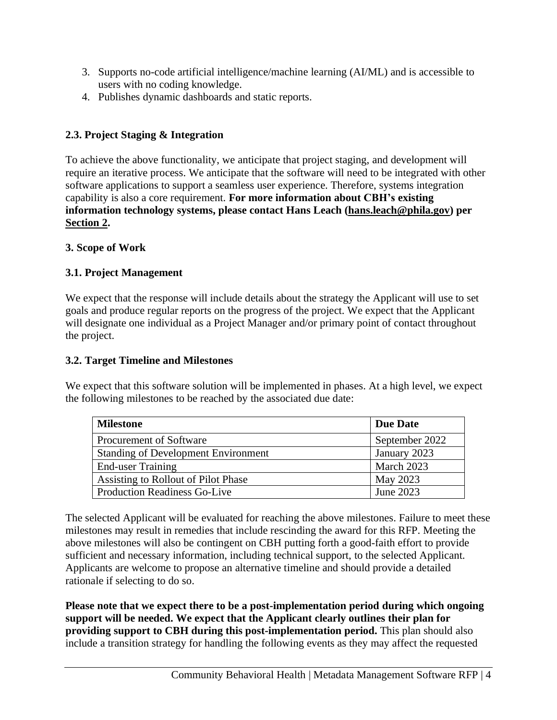- 3. Supports no-code artificial intelligence/machine learning (AI/ML) and is accessible to users with no coding knowledge.
- 4. Publishes dynamic dashboards and static reports.

#### **2.3. Project Staging & Integration**

To achieve the above functionality, we anticipate that project staging, and development will require an iterative process. We anticipate that the software will need to be integrated with other software applications to support a seamless user experience. Therefore, systems integration capability is also a core requirement. **For more information about CBH's existing information technology systems, please contact Hans Leach [\(hans.leach@phila.gov\)](mailto:hans.leach@phila.gov) per [Section](bookmark://_Guide_to_this/) 2.**

#### **3. Scope of Work**

#### **3.1. Project Management**

We expect that the response will include details about the strategy the Applicant will use to set goals and produce regular reports on the progress of the project. We expect that the Applicant will designate one individual as a Project Manager and/or primary point of contact throughout the project.

#### **3.2. Target Timeline and Milestones**

We expect that this software solution will be implemented in phases. At a high level, we expect the following milestones to be reached by the associated due date:

| <b>Milestone</b>                           | Due Date       |
|--------------------------------------------|----------------|
| Procurement of Software                    | September 2022 |
| <b>Standing of Development Environment</b> | January 2023   |
| <b>End-user Training</b>                   | March 2023     |
| Assisting to Rollout of Pilot Phase        | May 2023       |
| <b>Production Readiness Go-Live</b>        | June 2023      |

The selected Applicant will be evaluated for reaching the above milestones. Failure to meet these milestones may result in remedies that include rescinding the award for this RFP. Meeting the above milestones will also be contingent on CBH putting forth a good-faith effort to provide sufficient and necessary information, including technical support, to the selected Applicant. Applicants are welcome to propose an alternative timeline and should provide a detailed rationale if selecting to do so.

**Please note that we expect there to be a post-implementation period during which ongoing support will be needed. We expect that the Applicant clearly outlines their plan for providing support to CBH during this post-implementation period.** This plan should also include a transition strategy for handling the following events as they may affect the requested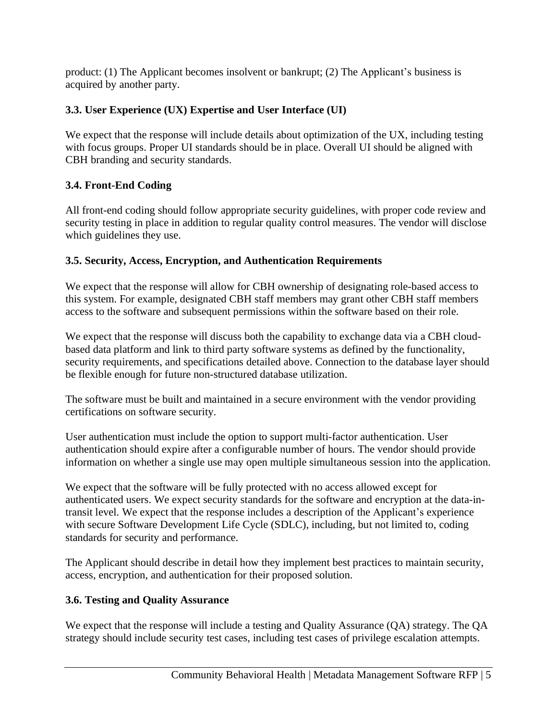product: (1) The Applicant becomes insolvent or bankrupt; (2) The Applicant's business is acquired by another party.

## **3.3. User Experience (UX) Expertise and User Interface (UI)**

We expect that the response will include details about optimization of the UX, including testing with focus groups. Proper UI standards should be in place. Overall UI should be aligned with CBH branding and security standards.

### **3.4. Front-End Coding**

All front-end coding should follow appropriate security guidelines, with proper code review and security testing in place in addition to regular quality control measures. The vendor will disclose which guidelines they use.

### **3.5. Security, Access, Encryption, and Authentication Requirements**

We expect that the response will allow for CBH ownership of designating role-based access to this system. For example, designated CBH staff members may grant other CBH staff members access to the software and subsequent permissions within the software based on their role.

We expect that the response will discuss both the capability to exchange data via a CBH cloudbased data platform and link to third party software systems as defined by the functionality, security requirements, and specifications detailed above. Connection to the database layer should be flexible enough for future non-structured database utilization.

The software must be built and maintained in a secure environment with the vendor providing certifications on software security.

User authentication must include the option to support multi-factor authentication. User authentication should expire after a configurable number of hours. The vendor should provide information on whether a single use may open multiple simultaneous session into the application.

We expect that the software will be fully protected with no access allowed except for authenticated users. We expect security standards for the software and encryption at the data-intransit level. We expect that the response includes a description of the Applicant's experience with secure Software Development Life Cycle (SDLC), including, but not limited to, coding standards for security and performance.

The Applicant should describe in detail how they implement best practices to maintain security, access, encryption, and authentication for their proposed solution.

### **3.6. Testing and Quality Assurance**

We expect that the response will include a testing and Quality Assurance (QA) strategy. The QA strategy should include security test cases, including test cases of privilege escalation attempts.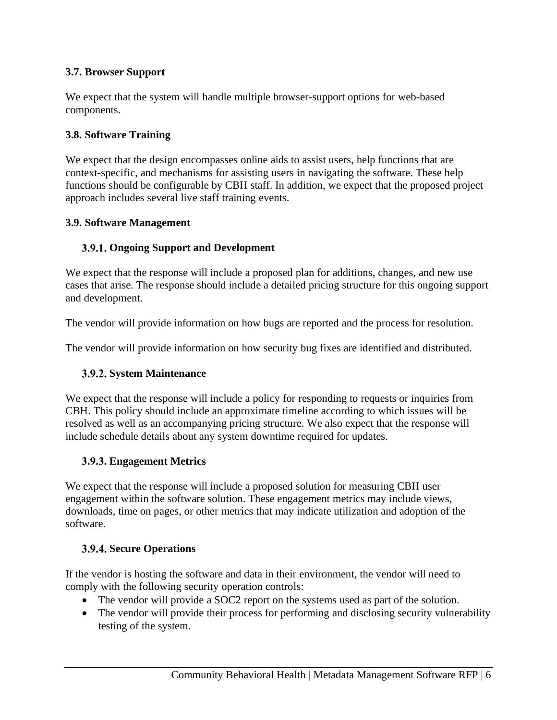#### **3.7. Browser Support**

We expect that the system will handle multiple browser-support options for web-based components.

#### **3.8. Software Training**

We expect that the design encompasses online aids to assist users, help functions that are context-specific, and mechanisms for assisting users in navigating the software. These help functions should be configurable by CBH staff. In addition, we expect that the proposed project approach includes several live staff training events.

#### **3.9. Software Management**

### **Ongoing Support and Development**

We expect that the response will include a proposed plan for additions, changes, and new use cases that arise. The response should include a detailed pricing structure for this ongoing support and development.

The vendor will provide information on how bugs are reported and the process for resolution.

The vendor will provide information on how security bug fixes are identified and distributed.

### **System Maintenance**

We expect that the response will include a policy for responding to requests or inquiries from CBH. This policy should include an approximate timeline according to which issues will be resolved as well as an accompanying pricing structure. We also expect that the response will include schedule details about any system downtime required for updates.

### **Engagement Metrics**

We expect that the response will include a proposed solution for measuring CBH user engagement within the software solution. These engagement metrics may include views, downloads, time on pages, or other metrics that may indicate utilization and adoption of the software.

### **Secure Operations**

If the vendor is hosting the software and data in their environment, the vendor will need to comply with the following security operation controls:

- The vendor will provide a SOC2 report on the systems used as part of the solution.
- The vendor will provide their process for performing and disclosing security vulnerability testing of the system.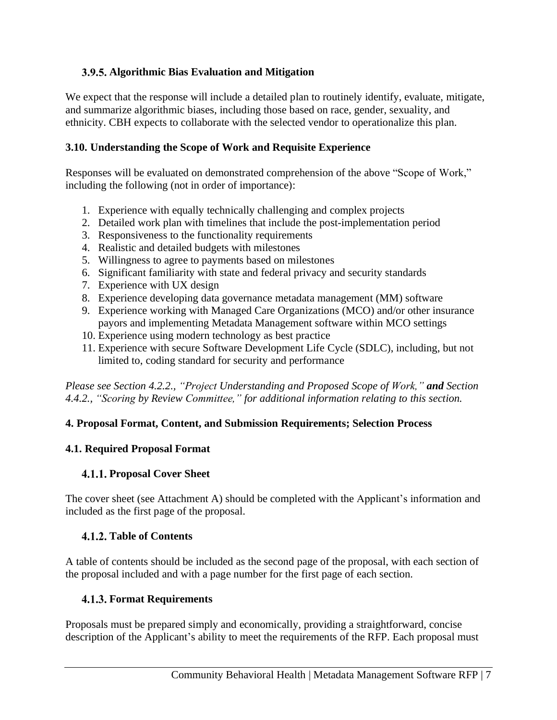#### **Algorithmic Bias Evaluation and Mitigation**

We expect that the response will include a detailed plan to routinely identify, evaluate, mitigate, and summarize algorithmic biases, including those based on race, gender, sexuality, and ethnicity. CBH expects to collaborate with the selected vendor to operationalize this plan.

#### **3.10. Understanding the Scope of Work and Requisite Experience**

Responses will be evaluated on demonstrated comprehension of the above "Scope of Work," including the following (not in order of importance):

- 1. Experience with equally technically challenging and complex projects
- 2. Detailed work plan with timelines that include the post-implementation period
- 3. Responsiveness to the functionality requirements
- 4. Realistic and detailed budgets with milestones
- 5. Willingness to agree to payments based on milestones
- 6. Significant familiarity with state and federal privacy and security standards
- 7. Experience with UX design
- 8. Experience developing data governance metadata management (MM) software
- 9. Experience working with Managed Care Organizations (MCO) and/or other insurance payors and implementing Metadata Management software within MCO settings
- 10. Experience using modern technology as best practice
- 11. Experience with secure Software Development Life Cycle (SDLC), including, but not limited to, coding standard for security and performance

*Please see Section 4.2.2., "Project Understanding and Proposed Scope of Work," and Section 4.4.2., "Scoring by Review Committee," for additional information relating to this section.*

#### **4. Proposal Format, Content, and Submission Requirements; Selection Process**

#### **4.1. Required Proposal Format**

#### **Proposal Cover Sheet**

The cover sheet (see Attachment A) should be completed with the Applicant's information and included as the first page of the proposal.

#### **Table of Contents**

A table of contents should be included as the second page of the proposal, with each section of the proposal included and with a page number for the first page of each section.

#### **Format Requirements**

Proposals must be prepared simply and economically, providing a straightforward, concise description of the Applicant's ability to meet the requirements of the RFP. Each proposal must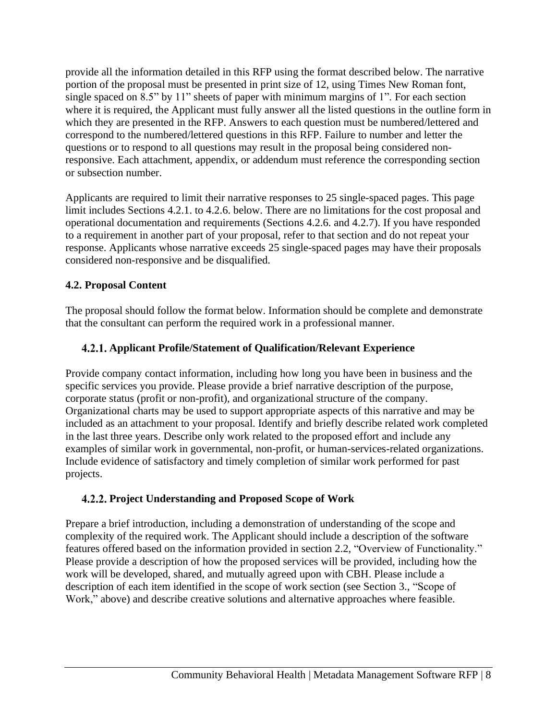provide all the information detailed in this RFP using the format described below. The narrative portion of the proposal must be presented in print size of 12, using Times New Roman font, single spaced on 8.5" by 11" sheets of paper with minimum margins of 1". For each section where it is required, the Applicant must fully answer all the listed questions in the outline form in which they are presented in the RFP. Answers to each question must be numbered/lettered and correspond to the numbered/lettered questions in this RFP. Failure to number and letter the questions or to respond to all questions may result in the proposal being considered nonresponsive. Each attachment, appendix, or addendum must reference the corresponding section or subsection number.

Applicants are required to limit their narrative responses to 25 single-spaced pages. This page limit includes Sections 4.2.1. to 4.2.6. below. There are no limitations for the cost proposal and operational documentation and requirements (Sections 4.2.6. and 4.2.7). If you have responded to a requirement in another part of your proposal, refer to that section and do not repeat your response. Applicants whose narrative exceeds 25 single-spaced pages may have their proposals considered non-responsive and be disqualified.

### **4.2. Proposal Content**

The proposal should follow the format below. Information should be complete and demonstrate that the consultant can perform the required work in a professional manner.

## **Applicant Profile/Statement of Qualification/Relevant Experience**

Provide company contact information, including how long you have been in business and the specific services you provide. Please provide a brief narrative description of the purpose, corporate status (profit or non-profit), and organizational structure of the company. Organizational charts may be used to support appropriate aspects of this narrative and may be included as an attachment to your proposal. Identify and briefly describe related work completed in the last three years. Describe only work related to the proposed effort and include any examples of similar work in governmental, non-profit, or human-services-related organizations. Include evidence of satisfactory and timely completion of similar work performed for past projects.

## **Project Understanding and Proposed Scope of Work**

Prepare a brief introduction, including a demonstration of understanding of the scope and complexity of the required work. The Applicant should include a description of the software features offered based on the information provided in section 2.2, "Overview of Functionality." Please provide a description of how the proposed services will be provided, including how the work will be developed, shared, and mutually agreed upon with CBH. Please include a description of each item identified in the scope of work section (see Section 3., "Scope of Work," above) and describe creative solutions and alternative approaches where feasible.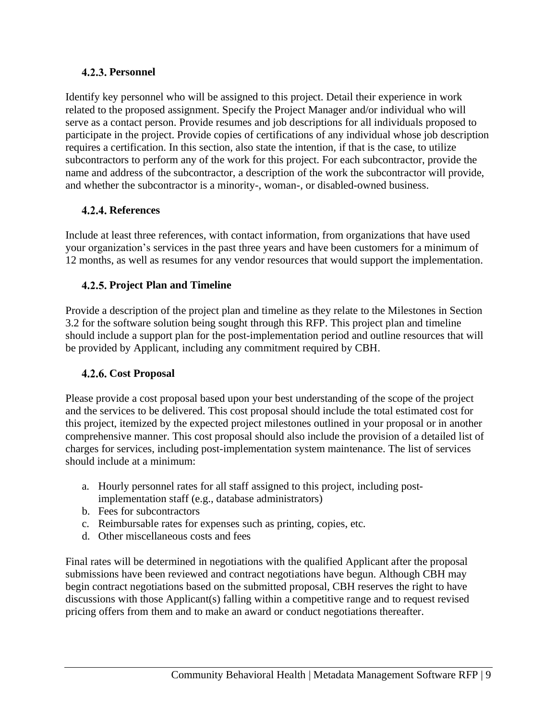#### **Personnel**

Identify key personnel who will be assigned to this project. Detail their experience in work related to the proposed assignment. Specify the Project Manager and/or individual who will serve as a contact person. Provide resumes and job descriptions for all individuals proposed to participate in the project. Provide copies of certifications of any individual whose job description requires a certification. In this section, also state the intention, if that is the case, to utilize subcontractors to perform any of the work for this project. For each subcontractor, provide the name and address of the subcontractor, a description of the work the subcontractor will provide, and whether the subcontractor is a minority-, woman-, or disabled-owned business.

#### **References**

Include at least three references, with contact information, from organizations that have used your organization's services in the past three years and have been customers for a minimum of 12 months, as well as resumes for any vendor resources that would support the implementation.

#### **Project Plan and Timeline**

Provide a description of the project plan and timeline as they relate to the Milestones in Section 3.2 for the software solution being sought through this RFP. This project plan and timeline should include a support plan for the post-implementation period and outline resources that will be provided by Applicant, including any commitment required by CBH.

#### **Cost Proposal**

Please provide a cost proposal based upon your best understanding of the scope of the project and the services to be delivered. This cost proposal should include the total estimated cost for this project, itemized by the expected project milestones outlined in your proposal or in another comprehensive manner. This cost proposal should also include the provision of a detailed list of charges for services, including post-implementation system maintenance. The list of services should include at a minimum:

- a. Hourly personnel rates for all staff assigned to this project, including postimplementation staff (e.g., database administrators)
- b. Fees for subcontractors
- c. Reimbursable rates for expenses such as printing, copies, etc.
- d. Other miscellaneous costs and fees

Final rates will be determined in negotiations with the qualified Applicant after the proposal submissions have been reviewed and contract negotiations have begun. Although CBH may begin contract negotiations based on the submitted proposal, CBH reserves the right to have discussions with those Applicant(s) falling within a competitive range and to request revised pricing offers from them and to make an award or conduct negotiations thereafter.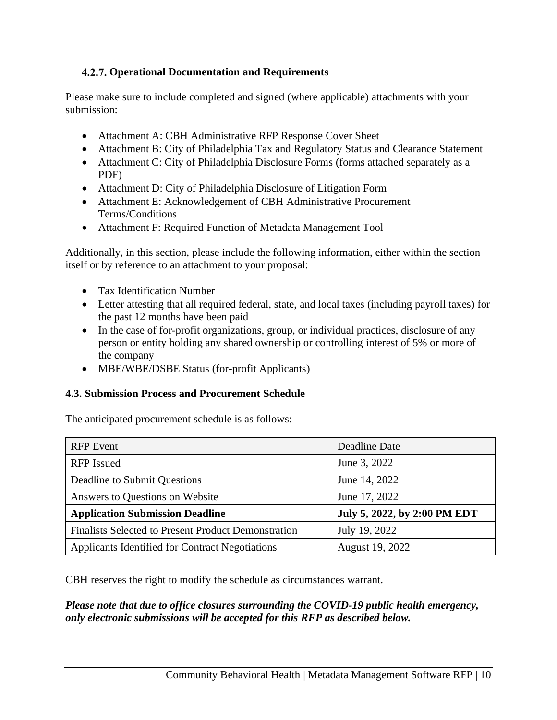#### **Operational Documentation and Requirements**

Please make sure to include completed and signed (where applicable) attachments with your submission:

- Attachment A: CBH Administrative RFP Response Cover Sheet
- Attachment B: City of Philadelphia Tax and Regulatory Status and Clearance Statement
- Attachment C: City of Philadelphia Disclosure Forms (forms attached separately as a PDF)
- Attachment D: City of Philadelphia Disclosure of Litigation Form
- Attachment E: Acknowledgement of CBH Administrative Procurement Terms/Conditions
- Attachment F: Required Function of Metadata Management Tool

Additionally, in this section, please include the following information, either within the section itself or by reference to an attachment to your proposal:

- Tax Identification Number
- Letter attesting that all required federal, state, and local taxes (including payroll taxes) for the past 12 months have been paid
- In the case of for-profit organizations, group, or individual practices, disclosure of any person or entity holding any shared ownership or controlling interest of 5% or more of the company
- MBE/WBE/DSBE Status (for-profit Applicants)

#### **4.3. Submission Process and Procurement Schedule**

The anticipated procurement schedule is as follows:

| <b>RFP</b> Event                                           | Deadline Date                |
|------------------------------------------------------------|------------------------------|
| <b>RFP</b> Issued                                          | June 3, 2022                 |
| Deadline to Submit Questions                               | June 14, 2022                |
| Answers to Questions on Website                            | June 17, 2022                |
| <b>Application Submission Deadline</b>                     | July 5, 2022, by 2:00 PM EDT |
| <b>Finalists Selected to Present Product Demonstration</b> | July 19, 2022                |
| Applicants Identified for Contract Negotiations            | August 19, 2022              |

CBH reserves the right to modify the schedule as circumstances warrant.

*Please note that due to office closures surrounding the COVID-19 public health emergency, only electronic submissions will be accepted for this RFP as described below.*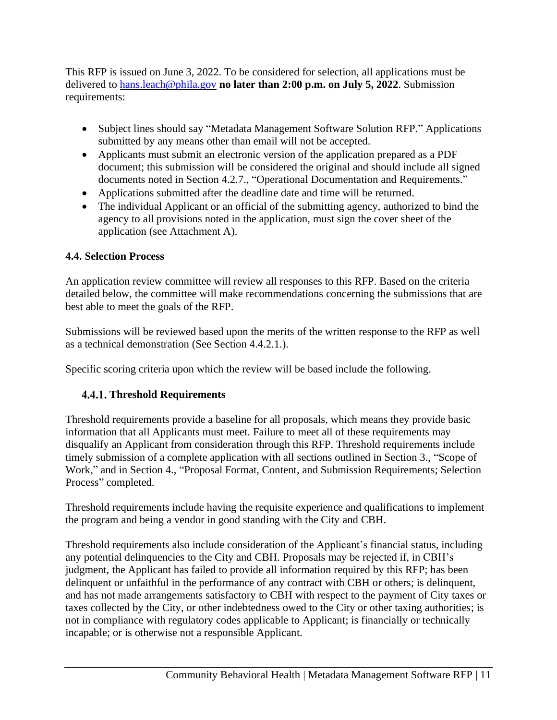This RFP is issued on June 3, 2022. To be considered for selection, all applications must be delivered to [hans.leach@phila.gov](mailto:hans.leach@phila.gov) **no later than 2:00 p.m. on July 5, 2022**. Submission requirements:

- Subject lines should say "Metadata Management Software Solution RFP." Applications submitted by any means other than email will not be accepted.
- Applicants must submit an electronic version of the application prepared as a PDF document; this submission will be considered the original and should include all signed documents noted in Section 4.2.7., "Operational Documentation and Requirements."
- Applications submitted after the deadline date and time will be returned.
- The individual Applicant or an official of the submitting agency, authorized to bind the agency to all provisions noted in the application, must sign the cover sheet of the application (see Attachment A).

#### **4.4. Selection Process**

An application review committee will review all responses to this RFP. Based on the criteria detailed below, the committee will make recommendations concerning the submissions that are best able to meet the goals of the RFP.

Submissions will be reviewed based upon the merits of the written response to the RFP as well as a technical demonstration (See Section 4.4.2.1.).

Specific scoring criteria upon which the review will be based include the following.

## **Threshold Requirements**

Threshold requirements provide a baseline for all proposals, which means they provide basic information that all Applicants must meet. Failure to meet all of these requirements may disqualify an Applicant from consideration through this RFP. Threshold requirements include timely submission of a complete application with all sections outlined in Section 3., "Scope of Work," and in Section 4., "Proposal Format, Content, and Submission Requirements; Selection Process" completed.

Threshold requirements include having the requisite experience and qualifications to implement the program and being a vendor in good standing with the City and CBH.

Threshold requirements also include consideration of the Applicant's financial status, including any potential delinquencies to the City and CBH. Proposals may be rejected if, in CBH's judgment, the Applicant has failed to provide all information required by this RFP; has been delinquent or unfaithful in the performance of any contract with CBH or others; is delinquent, and has not made arrangements satisfactory to CBH with respect to the payment of City taxes or taxes collected by the City, or other indebtedness owed to the City or other taxing authorities; is not in compliance with regulatory codes applicable to Applicant; is financially or technically incapable; or is otherwise not a responsible Applicant.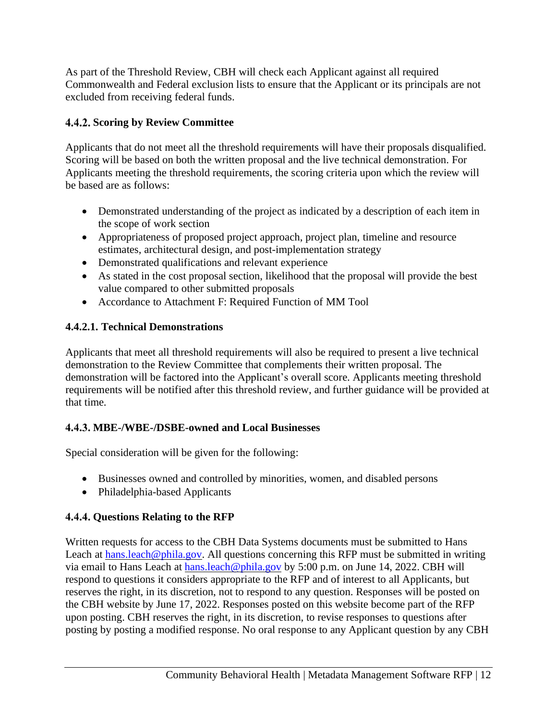As part of the Threshold Review, CBH will check each Applicant against all required Commonwealth and Federal exclusion lists to ensure that the Applicant or its principals are not excluded from receiving federal funds.

## **Scoring by Review Committee**

Applicants that do not meet all the threshold requirements will have their proposals disqualified. Scoring will be based on both the written proposal and the live technical demonstration. For Applicants meeting the threshold requirements, the scoring criteria upon which the review will be based are as follows:

- Demonstrated understanding of the project as indicated by a description of each item in the scope of work section
- Appropriateness of proposed project approach, project plan, timeline and resource estimates, architectural design, and post-implementation strategy
- Demonstrated qualifications and relevant experience
- As stated in the cost proposal section, likelihood that the proposal will provide the best value compared to other submitted proposals
- Accordance to Attachment F: Required Function of MM Tool

## **4.4.2.1. Technical Demonstrations**

Applicants that meet all threshold requirements will also be required to present a live technical demonstration to the Review Committee that complements their written proposal. The demonstration will be factored into the Applicant's overall score. Applicants meeting threshold requirements will be notified after this threshold review, and further guidance will be provided at that time.

## **MBE-/WBE-/DSBE-owned and Local Businesses**

Special consideration will be given for the following:

- Businesses owned and controlled by minorities, women, and disabled persons
- Philadelphia-based Applicants

## **Questions Relating to the RFP**

Written requests for access to the CBH Data Systems documents must be submitted to Hans Leach at [hans.leach@phila.gov.](mailto:hans.leach@phila.gov) All questions concerning this RFP must be submitted in writing via email to Hans Leach at [hans.leach@phila.gov](mailto:hans.leach@phila.gov) by 5:00 p.m. on June 14, 2022. CBH will respond to questions it considers appropriate to the RFP and of interest to all Applicants, but reserves the right, in its discretion, not to respond to any question. Responses will be posted on the CBH website by June 17, 2022. Responses posted on this website become part of the RFP upon posting. CBH reserves the right, in its discretion, to revise responses to questions after posting by posting a modified response. No oral response to any Applicant question by any CBH